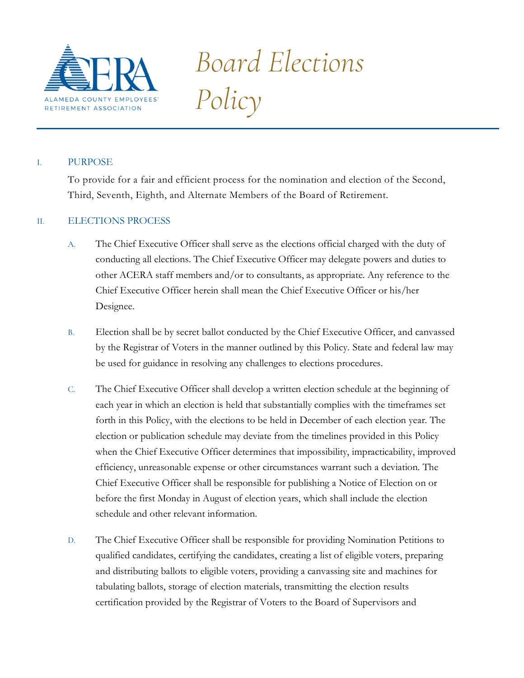

*Board Elections Policy*

# I. PURPOSE

To provide for a fair and efficient process for the nomination and election of the Second, Third, Seventh, Eighth, and Alternate Members of the Board of Retirement.

# II. ELECTIONS PROCESS

- A. The Chief Executive Officer shall serve as the elections official charged with the duty of conducting all elections. The Chief Executive Officer may delegate powers and duties to other ACERA staff members and/or to consultants, as appropriate. Any reference to the Chief Executive Officer herein shall mean the Chief Executive Officer or his/her Designee.
- B. Election shall be by secret ballot conducted by the Chief Executive Officer, and canvassed by the Registrar of Voters in the manner outlined by this Policy. State and federal law may be used for guidance in resolving any challenges to elections procedures.
- C. The Chief Executive Officer shall develop a written election schedule at the beginning of each year in which an election is held that substantially complies with the timeframes set forth in this Policy, with the elections to be held in December of each election year. The election or publication schedule may deviate from the timelines provided in this Policy when the Chief Executive Officer determines that impossibility, impracticability, improved efficiency, unreasonable expense or other circumstances warrant such a deviation. The Chief Executive Officer shall be responsible for publishing a Notice of Election on or before the first Monday in August of election years, which shall include the election schedule and other relevant information.
- D. The Chief Executive Officer shall be responsible for providing Nomination Petitions to qualified candidates, certifying the candidates, creating a list of eligible voters, preparing and distributing ballots to eligible voters, providing a canvassing site and machines for tabulating ballots, storage of election materials, transmitting the election results certification provided by the Registrar of Voters to the Board of Supervisors and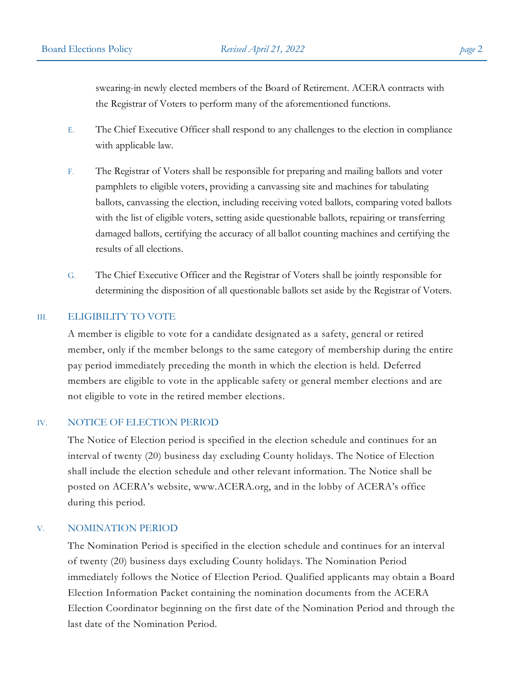swearing-in newly elected members of the Board of Retirement. ACERA contracts with the Registrar of Voters to perform many of the aforementioned functions.

- E. The Chief Executive Officer shall respond to any challenges to the election in compliance with applicable law.
- F. The Registrar of Voters shall be responsible for preparing and mailing ballots and voter pamphlets to eligible voters, providing a canvassing site and machines for tabulating ballots, canvassing the election, including receiving voted ballots, comparing voted ballots with the list of eligible voters, setting aside questionable ballots, repairing or transferring damaged ballots, certifying the accuracy of all ballot counting machines and certifying the results of all elections.
- G. The Chief Executive Officer and the Registrar of Voters shall be jointly responsible for determining the disposition of all questionable ballots set aside by the Registrar of Voters.

### III. ELIGIBILITY TO VOTE

A member is eligible to vote for a candidate designated as a safety, general or retired member, only if the member belongs to the same category of membership during the entire pay period immediately preceding the month in which the election is held. Deferred members are eligible to vote in the applicable safety or general member elections and are not eligible to vote in the retired member elections.

#### IV. NOTICE OF ELECTION PERIOD

The Notice of Election period is specified in the election schedule and continues for an interval of twenty (20) business day excluding County holidays. The Notice of Election shall include the election schedule and other relevant information. The Notice shall be posted on ACERA's website, www.ACERA.org, and in the lobby of ACERA's office during this period.

### V. NOMINATION PERIOD

The Nomination Period is specified in the election schedule and continues for an interval of twenty (20) business days excluding County holidays. The Nomination Period immediately follows the Notice of Election Period. Qualified applicants may obtain a Board Election Information Packet containing the nomination documents from the ACERA Election Coordinator beginning on the first date of the Nomination Period and through the last date of the Nomination Period.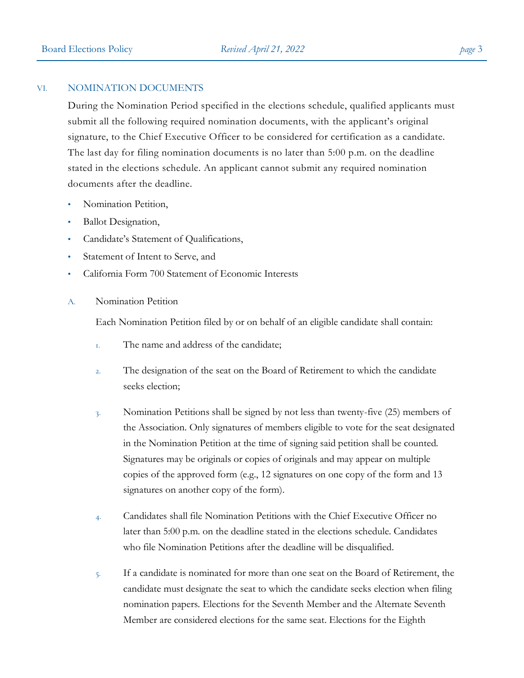#### VI. NOMINATION DOCUMENTS

During the Nomination Period specified in the elections schedule, qualified applicants must submit all the following required nomination documents, with the applicant's original signature, to the Chief Executive Officer to be considered for certification as a candidate. The last day for filing nomination documents is no later than 5:00 p.m. on the deadline stated in the elections schedule. An applicant cannot submit any required nomination documents after the deadline.

- Nomination Petition,
- Ballot Designation,
- Candidate's Statement of Qualifications,
- Statement of Intent to Serve, and
- California Form 700 Statement of Economic Interests
- A. Nomination Petition

Each Nomination Petition filed by or on behalf of an eligible candidate shall contain:

- 1. The name and address of the candidate;
- 2. The designation of the seat on the Board of Retirement to which the candidate seeks election;
- 3. Nomination Petitions shall be signed by not less than twenty-five (25) members of the Association. Only signatures of members eligible to vote for the seat designated in the Nomination Petition at the time of signing said petition shall be counted. Signatures may be originals or copies of originals and may appear on multiple copies of the approved form (e.g., 12 signatures on one copy of the form and 13 signatures on another copy of the form).
- 4. Candidates shall file Nomination Petitions with the Chief Executive Officer no later than 5:00 p.m. on the deadline stated in the elections schedule. Candidates who file Nomination Petitions after the deadline will be disqualified.
- 5. If a candidate is nominated for more than one seat on the Board of Retirement, the candidate must designate the seat to which the candidate seeks election when filing nomination papers. Elections for the Seventh Member and the Alternate Seventh Member are considered elections for the same seat. Elections for the Eighth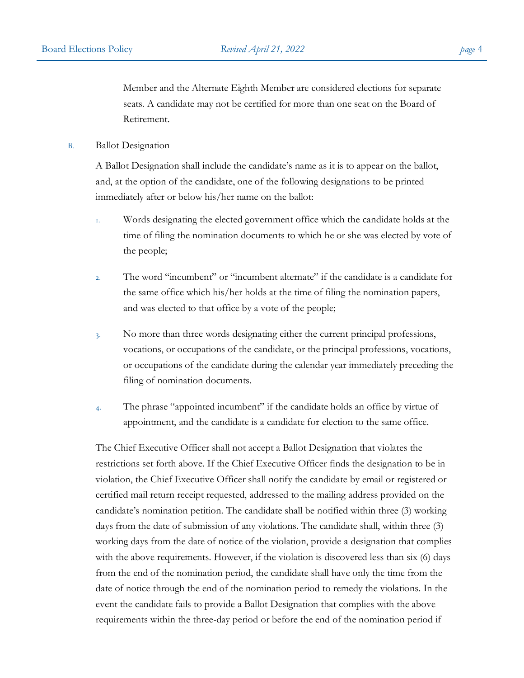Member and the Alternate Eighth Member are considered elections for separate seats. A candidate may not be certified for more than one seat on the Board of Retirement.

B. Ballot Designation

A Ballot Designation shall include the candidate's name as it is to appear on the ballot, and, at the option of the candidate, one of the following designations to be printed immediately after or below his/her name on the ballot:

- 1. Words designating the elected government office which the candidate holds at the time of filing the nomination documents to which he or she was elected by vote of the people;
- 2. The word "incumbent" or "incumbent alternate" if the candidate is a candidate for the same office which his/her holds at the time of filing the nomination papers, and was elected to that office by a vote of the people;
- 3. No more than three words designating either the current principal professions, vocations, or occupations of the candidate, or the principal professions, vocations, or occupations of the candidate during the calendar year immediately preceding the filing of nomination documents.
- 4. The phrase "appointed incumbent" if the candidate holds an office by virtue of appointment, and the candidate is a candidate for election to the same office.

The Chief Executive Officer shall not accept a Ballot Designation that violates the restrictions set forth above. If the Chief Executive Officer finds the designation to be in violation, the Chief Executive Officer shall notify the candidate by email or registered or certified mail return receipt requested, addressed to the mailing address provided on the candidate's nomination petition. The candidate shall be notified within three (3) working days from the date of submission of any violations. The candidate shall, within three (3) working days from the date of notice of the violation, provide a designation that complies with the above requirements. However, if the violation is discovered less than six (6) days from the end of the nomination period, the candidate shall have only the time from the date of notice through the end of the nomination period to remedy the violations. In the event the candidate fails to provide a Ballot Designation that complies with the above requirements within the three-day period or before the end of the nomination period if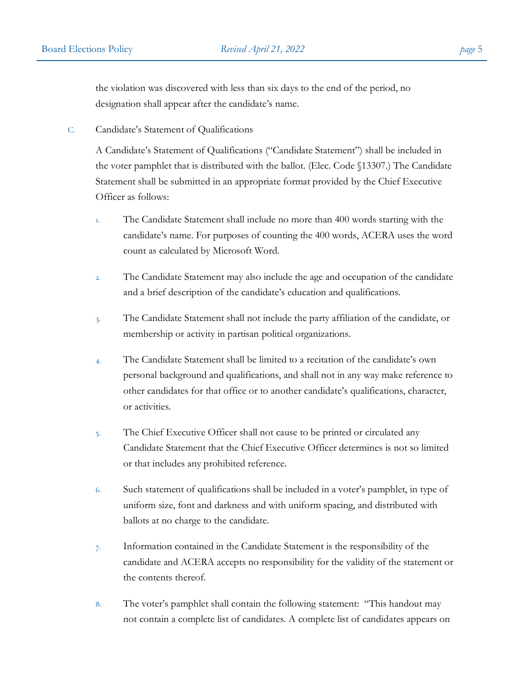the violation was discovered with less than six days to the end of the period, no designation shall appear after the candidate's name.

C. Candidate's Statement of Qualifications

A Candidate's Statement of Qualifications ("Candidate Statement") shall be included in the voter pamphlet that is distributed with the ballot. (Elec. Code §13307.) The Candidate Statement shall be submitted in an appropriate format provided by the Chief Executive Officer as follows:

- 1. The Candidate Statement shall include no more than 400 words starting with the candidate's name. For purposes of counting the 400 words, ACERA uses the word count as calculated by Microsoft Word.
- 2. The Candidate Statement may also include the age and occupation of the candidate and a brief description of the candidate's education and qualifications.
- 3. The Candidate Statement shall not include the party affiliation of the candidate, or membership or activity in partisan political organizations.
- 4. The Candidate Statement shall be limited to a recitation of the candidate's own personal background and qualifications, and shall not in any way make reference to other candidates for that office or to another candidate's qualifications, character, or activities.
- 5. The Chief Executive Officer shall not cause to be printed or circulated any Candidate Statement that the Chief Executive Officer determines is not so limited or that includes any prohibited reference.
- 6. Such statement of qualifications shall be included in a voter's pamphlet, in type of uniform size, font and darkness and with uniform spacing, and distributed with ballots at no charge to the candidate.
- 7. Information contained in the Candidate Statement is the responsibility of the candidate and ACERA accepts no responsibility for the validity of the statement or the contents thereof.
- 8. The voter's pamphlet shall contain the following statement: "This handout may not contain a complete list of candidates. A complete list of candidates appears on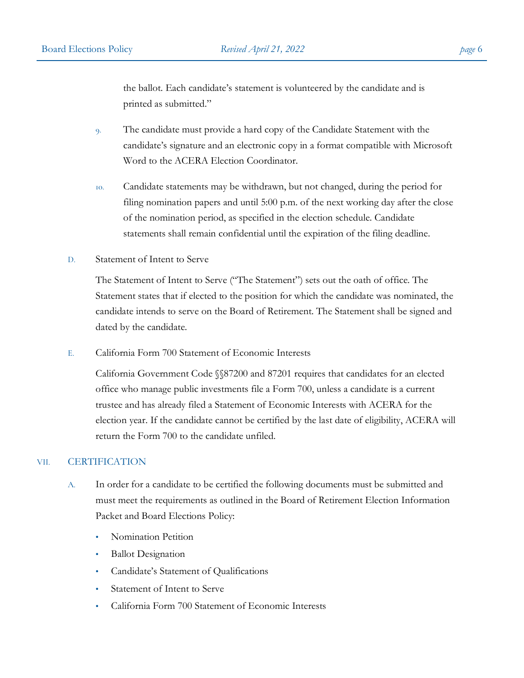the ballot. Each candidate's statement is volunteered by the candidate and is printed as submitted."

- 9. The candidate must provide a hard copy of the Candidate Statement with the candidate's signature and an electronic copy in a format compatible with Microsoft Word to the ACERA Election Coordinator.
- 10. Candidate statements may be withdrawn, but not changed, during the period for filing nomination papers and until 5:00 p.m. of the next working day after the close of the nomination period, as specified in the election schedule. Candidate statements shall remain confidential until the expiration of the filing deadline.
- D. Statement of Intent to Serve

The Statement of Intent to Serve ("The Statement") sets out the oath of office. The Statement states that if elected to the position for which the candidate was nominated, the candidate intends to serve on the Board of Retirement. The Statement shall be signed and dated by the candidate.

E. California Form 700 Statement of Economic Interests

California Government Code §§87200 and 87201 requires that candidates for an elected office who manage public investments file a Form 700, unless a candidate is a current trustee and has already filed a Statement of Economic Interests with ACERA for the election year. If the candidate cannot be certified by the last date of eligibility, ACERA will return the Form 700 to the candidate unfiled.

### VII. CERTIFICATION

- A. In order for a candidate to be certified the following documents must be submitted and must meet the requirements as outlined in the Board of Retirement Election Information Packet and Board Elections Policy:
	- Nomination Petition
	- Ballot Designation
	- Candidate's Statement of Qualifications
	- Statement of Intent to Serve
	- California Form 700 Statement of Economic Interests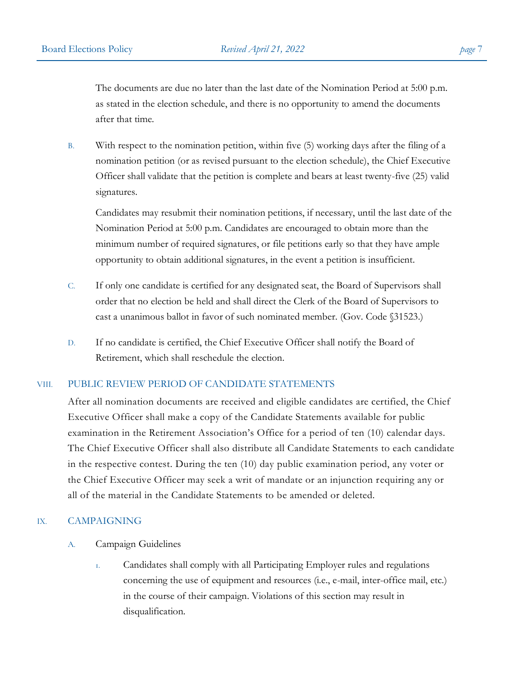The documents are due no later than the last date of the Nomination Period at 5:00 p.m. as stated in the election schedule, and there is no opportunity to amend the documents after that time.

B. With respect to the nomination petition, within five (5) working days after the filing of a nomination petition (or as revised pursuant to the election schedule), the Chief Executive Officer shall validate that the petition is complete and bears at least twenty-five (25) valid signatures.

Candidates may resubmit their nomination petitions, if necessary, until the last date of the Nomination Period at 5:00 p.m. Candidates are encouraged to obtain more than the minimum number of required signatures, or file petitions early so that they have ample opportunity to obtain additional signatures, in the event a petition is insufficient.

- C. If only one candidate is certified for any designated seat, the Board of Supervisors shall order that no election be held and shall direct the Clerk of the Board of Supervisors to cast a unanimous ballot in favor of such nominated member. (Gov. Code §31523.)
- D. If no candidate is certified, the Chief Executive Officer shall notify the Board of Retirement, which shall reschedule the election.

### VIII. PUBLIC REVIEW PERIOD OF CANDIDATE STATEMENTS

After all nomination documents are received and eligible candidates are certified, the Chief Executive Officer shall make a copy of the Candidate Statements available for public examination in the Retirement Association's Office for a period of ten (10) calendar days. The Chief Executive Officer shall also distribute all Candidate Statements to each candidate in the respective contest. During the ten (10) day public examination period, any voter or the Chief Executive Officer may seek a writ of mandate or an injunction requiring any or all of the material in the Candidate Statements to be amended or deleted.

### IX. CAMPAIGNING

- A. Campaign Guidelines
	- 1. Candidates shall comply with all Participating Employer rules and regulations concerning the use of equipment and resources (i.e., e-mail, inter-office mail, etc.) in the course of their campaign. Violations of this section may result in disqualification.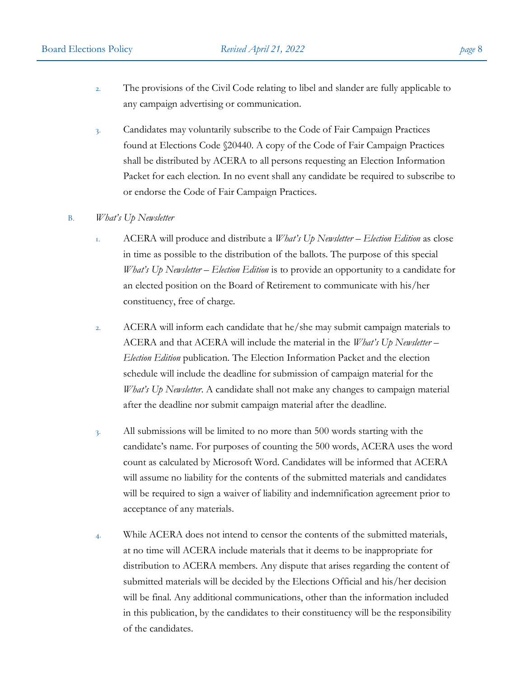- 2. The provisions of the Civil Code relating to libel and slander are fully applicable to any campaign advertising or communication.
- 3. Candidates may voluntarily subscribe to the Code of Fair Campaign Practices found at Elections Code §20440. A copy of the Code of Fair Campaign Practices shall be distributed by ACERA to all persons requesting an Election Information Packet for each election. In no event shall any candidate be required to subscribe to or endorse the Code of Fair Campaign Practices.

### B. *What's Up Newsletter*

- 1. ACERA will produce and distribute a *What's Up Newsletter – Election Edition* as close in time as possible to the distribution of the ballots. The purpose of this special *What's Up Newsletter – Election Edition* is to provide an opportunity to a candidate for an elected position on the Board of Retirement to communicate with his/her constituency, free of charge.
- 2. ACERA will inform each candidate that he/she may submit campaign materials to ACERA and that ACERA will include the material in the *What's Up Newsletter – Election Edition* publication. The Election Information Packet and the election schedule will include the deadline for submission of campaign material for the *What's Up Newsletter*. A candidate shall not make any changes to campaign material after the deadline nor submit campaign material after the deadline.
- 3. All submissions will be limited to no more than 500 words starting with the candidate's name. For purposes of counting the 500 words, ACERA uses the word count as calculated by Microsoft Word. Candidates will be informed that ACERA will assume no liability for the contents of the submitted materials and candidates will be required to sign a waiver of liability and indemnification agreement prior to acceptance of any materials.
- 4. While ACERA does not intend to censor the contents of the submitted materials, at no time will ACERA include materials that it deems to be inappropriate for distribution to ACERA members. Any dispute that arises regarding the content of submitted materials will be decided by the Elections Official and his/her decision will be final. Any additional communications, other than the information included in this publication, by the candidates to their constituency will be the responsibility of the candidates.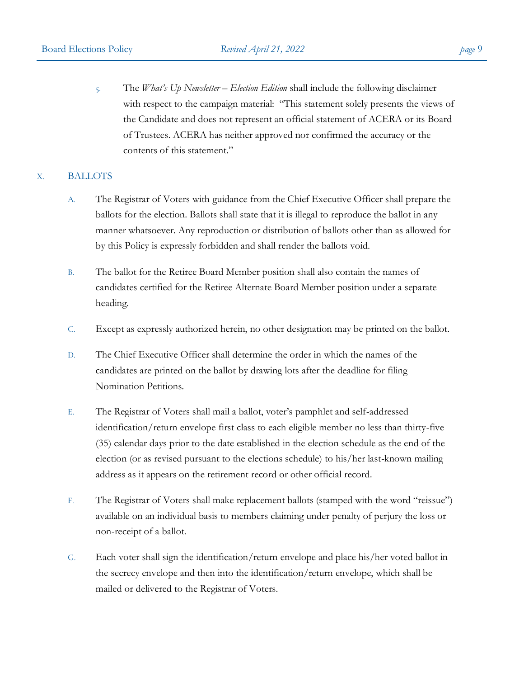5. The *What's Up Newsletter – Election Edition* shall include the following disclaimer with respect to the campaign material: "This statement solely presents the views of the Candidate and does not represent an official statement of ACERA or its Board of Trustees. ACERA has neither approved nor confirmed the accuracy or the contents of this statement."

## X. BALLOTS

- A. The Registrar of Voters with guidance from the Chief Executive Officer shall prepare the ballots for the election. Ballots shall state that it is illegal to reproduce the ballot in any manner whatsoever. Any reproduction or distribution of ballots other than as allowed for by this Policy is expressly forbidden and shall render the ballots void.
- B. The ballot for the Retiree Board Member position shall also contain the names of candidates certified for the Retiree Alternate Board Member position under a separate heading.
- C. Except as expressly authorized herein, no other designation may be printed on the ballot.
- D. The Chief Executive Officer shall determine the order in which the names of the candidates are printed on the ballot by drawing lots after the deadline for filing Nomination Petitions.
- E. The Registrar of Voters shall mail a ballot, voter's pamphlet and self-addressed identification/return envelope first class to each eligible member no less than thirty-five (35) calendar days prior to the date established in the election schedule as the end of the election (or as revised pursuant to the elections schedule) to his/her last-known mailing address as it appears on the retirement record or other official record.
- F. The Registrar of Voters shall make replacement ballots (stamped with the word "reissue") available on an individual basis to members claiming under penalty of perjury the loss or non-receipt of a ballot.
- G. Each voter shall sign the identification/return envelope and place his/her voted ballot in the secrecy envelope and then into the identification/return envelope, which shall be mailed or delivered to the Registrar of Voters.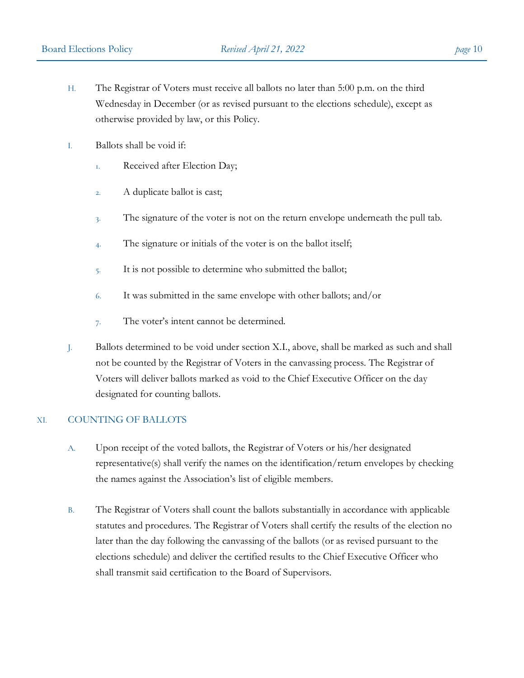- H. The Registrar of Voters must receive all ballots no later than 5:00 p.m. on the third Wednesday in December (or as revised pursuant to the elections schedule), except as otherwise provided by law, or this Policy.
- I. Ballots shall be void if:
	- 1. Received after Election Day;
	- 2. A duplicate ballot is cast;
	- 3. The signature of the voter is not on the return envelope underneath the pull tab.
	- 4. The signature or initials of the voter is on the ballot itself;
	- 5. It is not possible to determine who submitted the ballot;
	- 6. It was submitted in the same envelope with other ballots; and/or
	- 7. The voter's intent cannot be determined.
- J. Ballots determined to be void under section X.I., above, shall be marked as such and shall not be counted by the Registrar of Voters in the canvassing process. The Registrar of Voters will deliver ballots marked as void to the Chief Executive Officer on the day designated for counting ballots.

### XI. COUNTING OF BALLOTS

- A. Upon receipt of the voted ballots, the Registrar of Voters or his/her designated representative(s) shall verify the names on the identification/return envelopes by checking the names against the Association's list of eligible members.
- B. The Registrar of Voters shall count the ballots substantially in accordance with applicable statutes and procedures. The Registrar of Voters shall certify the results of the election no later than the day following the canvassing of the ballots (or as revised pursuant to the elections schedule) and deliver the certified results to the Chief Executive Officer who shall transmit said certification to the Board of Supervisors.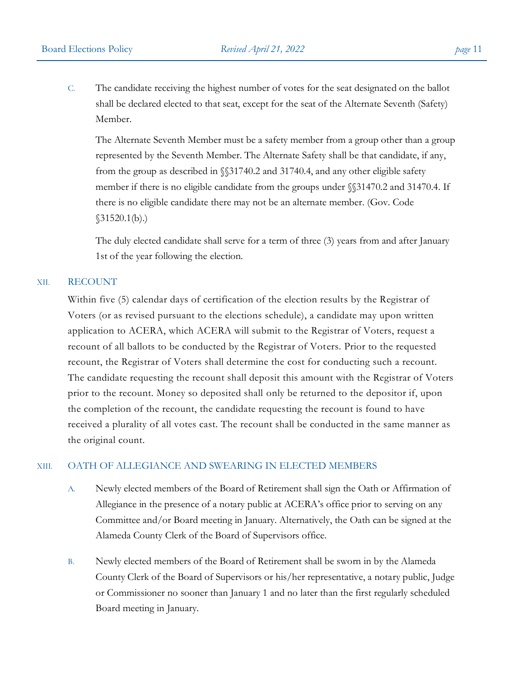C. The candidate receiving the highest number of votes for the seat designated on the ballot shall be declared elected to that seat, except for the seat of the Alternate Seventh (Safety) Member.

The Alternate Seventh Member must be a safety member from a group other than a group represented by the Seventh Member. The Alternate Safety shall be that candidate, if any, from the group as described in §§31740.2 and 31740.4, and any other eligible safety member if there is no eligible candidate from the groups under §§31470.2 and 31470.4. If there is no eligible candidate there may not be an alternate member. (Gov. Code  $$31520.1(b).$ 

The duly elected candidate shall serve for a term of three (3) years from and after January 1st of the year following the election.

### XII. RECOUNT

Within five (5) calendar days of certification of the election results by the Registrar of Voters (or as revised pursuant to the elections schedule), a candidate may upon written application to ACERA, which ACERA will submit to the Registrar of Voters, request a recount of all ballots to be conducted by the Registrar of Voters. Prior to the requested recount, the Registrar of Voters shall determine the cost for conducting such a recount. The candidate requesting the recount shall deposit this amount with the Registrar of Voters prior to the recount. Money so deposited shall only be returned to the depositor if, upon the completion of the recount, the candidate requesting the recount is found to have received a plurality of all votes cast. The recount shall be conducted in the same manner as the original count.

## XIII. OATH OF ALLEGIANCE AND SWEARING IN ELECTED MEMBERS

- A. Newly elected members of the Board of Retirement shall sign the Oath or Affirmation of Allegiance in the presence of a notary public at ACERA's office prior to serving on any Committee and/or Board meeting in January. Alternatively, the Oath can be signed at the Alameda County Clerk of the Board of Supervisors office.
- B. Newly elected members of the Board of Retirement shall be sworn in by the Alameda County Clerk of the Board of Supervisors or his/her representative, a notary public, Judge or Commissioner no sooner than January 1 and no later than the first regularly scheduled Board meeting in January.